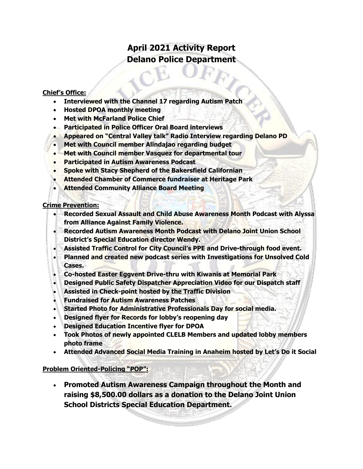# **April 2021 Activity Report Delano Police Department**

#### **Chief's Office:**

- **Interviewed with the Channel 17 regarding Autism Patch**
- **Hosted DPOA monthly meeting**
- **Met with McFarland Police Chief**
- **Participated in Police Officer Oral Board interviews**
- **Appeared on "Central Valley talk" Radio Interview regarding Delano PD**
- **Met with Council member Alindajao regarding budget**
- **Met with Council member Vasquez for departmental tour**
- **Participated in Autism Awareness Podcast**
- **Spoke with Stacy Shepherd of the Bakersfield Californian**
- **Attended Chamber of Commerce fundraiser at Heritage Park**
- **Attended Community Alliance Board Meeting**

#### **Crime Prevention:**

- **Recorded Sexual Assault and Child Abuse Awareness Month Podcast with Alyssa from Alliance Against Family Violence.**
- **Recorded Autism Awareness Month Podcast with Delano Joint Union School District's Special Education director Wendy.**
- **Assisted Traffic Control for City Council's PPE and Drive-through food event.**
- **Planned and created new podcast series with Investigations for Unsolved Cold Cases.**
- **Co-hosted Easter Eggvent Drive-thru with Kiwanis at Memorial Park**
- **Designed Public Safety Dispatcher Appreciation Video for our Dispatch staff**
- **Assisted in Check-point hosted by the Traffic Division**
- **Fundraised for Autism Awareness Patches**
- **Started Photo for Administrative Professionals Day for social media.**
- **Designed flyer for Records for lobby's reopening day**
- **Designed Education Incentive flyer for DPOA**
- **Took Photos of newly appointed CLELB Members and updated lobby members photo frame**
- **Attended Advanced Social Media Training in Anaheim hosted by Let's Do it Social**

#### **Problem Oriented-Policing "POP":**

• **Promoted Autism Awareness Campaign throughout the Month and raising \$8,500.00 dollars as a donation to the Delano Joint Union School Districts Special Education Department.**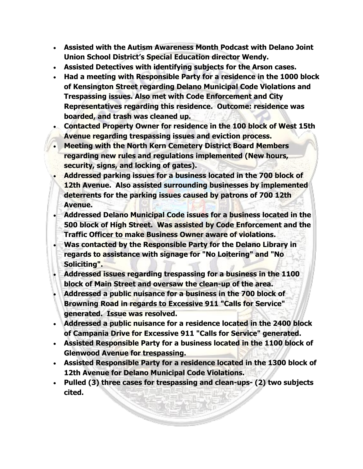- **Assisted with the Autism Awareness Month Podcast with Delano Joint Union School District's Special Education director Wendy.**
- **Assisted Detectives with identifying subjects for the Arson cases.**
- **Had a meeting with Responsible Party for a residence in the 1000 block of Kensington Street regarding Delano Municipal Code Violations and Trespassing issues. Also met with Code Enforcement and City Representatives regarding this residence. Outcome: residence was boarded, and trash was cleaned up.**
- **Contacted Property Owner for residence in the 100 block of West 15th Avenue regarding trespassing issues and eviction process.**
- **Meeting with the North Kern Cemetery District Board Members regarding new rules and regulations implemented (New hours, security, signs, and locking of gates).**
- **Addressed parking issues for a business located in the 700 block of 12th Avenue. Also assisted surrounding businesses by implemented deterrents for the parking issues caused by patrons of 700 12th Avenue.**
- **Addressed Delano Municipal Code issues for a business located in the 500 block of High Street. Was assisted by Code Enforcement and the Traffic Officer to make Business Owner aware of violations.**
- **Was contacted by the Responsible Party for the Delano Library in regards to assistance with signage for "No Loitering" and "No Soliciting".**
- **Addressed issues regarding trespassing for a business in the 1100 block of Main Street and oversaw the clean-up of the area.**
- **Addressed a public nuisance for a business in the 700 block of Browning Road in regards to Excessive 911 "Calls for Service" generated. Issue was resolved.**
- **Addressed a public nuisance for a residence located in the 2400 block of Campania Drive for Excessive 911 "Calls for Service" generated.**
- **Assisted Responsible Party for a business located in the 1100 block of Glenwood Avenue for trespassing.**
- **Assisted Responsible Party for a residence located in the 1300 block of 12th Avenue for Delano Municipal Code Violations.**
- **Pulled (3) three cases for trespassing and clean-ups- (2) two subjects cited.**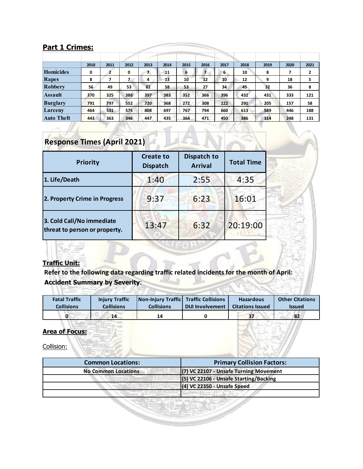### **Part 1 Crimes:**

|                 | 2010 | 2011 | 2012        | 2013 | 2014 | 2015 | 2016 | 2017 | 2018 | 2019 | 2020 | 2021 |
|-----------------|------|------|-------------|------|------|------|------|------|------|------|------|------|
| Homicides       | 0    | ,    | $\mathbf 0$ | 7.   | 11   | 6    |      | 6.   | 10   | 8    |      | 2    |
| Rapes           | 8    |      | 7           | 4    | 13   | 10   | 12   | 10   | 12   | 9    | 18   | 5    |
| Robbery         | 56   | 49   | 53          | 82   | 58   | 53   | 27   | 34   | 45   | 32   | 36   | 8    |
| Assault         | 370  | 325  | 388         | 397  | 383  | 352  | 366  | 396  | 432  | 431  | 333  | 121  |
| <b>Burglary</b> | 791  | 797  | 552         | 720  | 368  | 272  | 308  | 222  | 291  | 205  | 157  | 58   |
| Larceny         | 464  | 531  | 575         | 808  | 697  | 767  | 794  | 660  | 613  | 589  | 446  | 188  |
| Auto Theft      | 443  | 363  | 346         | 447  | 435  | 364  | 471  | 450  | 386  | 314  | 248  | 131  |

# **Response Times (April 2021)**

| Priority                                                   | <b>Create to</b><br><b>Dispatch</b> | Dispatch to<br><b>Arrival</b> | <b>Total Time</b> |  |
|------------------------------------------------------------|-------------------------------------|-------------------------------|-------------------|--|
| 1. Life/Death                                              | 1:40                                | 2:55                          | 4:35              |  |
| 2. Property Crime in Progress                              | 9:37                                | 6:23                          | 16:01             |  |
| 3. Cold Call/No immediate<br>threat to person or property. | 13:47                               | 6:32                          | 20:19:00          |  |

#### **Traffic Unit:**

大学者

**Refer to the following data regarding traffic related incidents for the month of April: Accident Summary by Severity**:

| <b>Fatal Traffic</b> | <b>Injury Traffic</b> | Non-Injury Traffic Traffic Collisions |                        | <b>Hazardous</b>        | <b>Other Citations</b> |
|----------------------|-----------------------|---------------------------------------|------------------------|-------------------------|------------------------|
| <b>Collisions</b>    | <b>Collisions</b>     | <b>Collisions</b>                     | <b>DUI Involvement</b> | <b>Citations Issued</b> | <b>Issued</b>          |
|                      | 14                    | 14                                    |                        | 37                      | 82                     |

#### **Area of Focus:**

Collision:

| <b>Common Locations:</b>   | <b>Primary Collision Factors:</b>      |
|----------------------------|----------------------------------------|
| <b>No Common Locations</b> | (7) VC 22107 - Unsafe Turning Movement |
|                            | (5) VC 22106 - Unsafe Starting/Backing |
|                            | $(4)$ VC 22350 - Unsafe Speed          |
|                            |                                        |